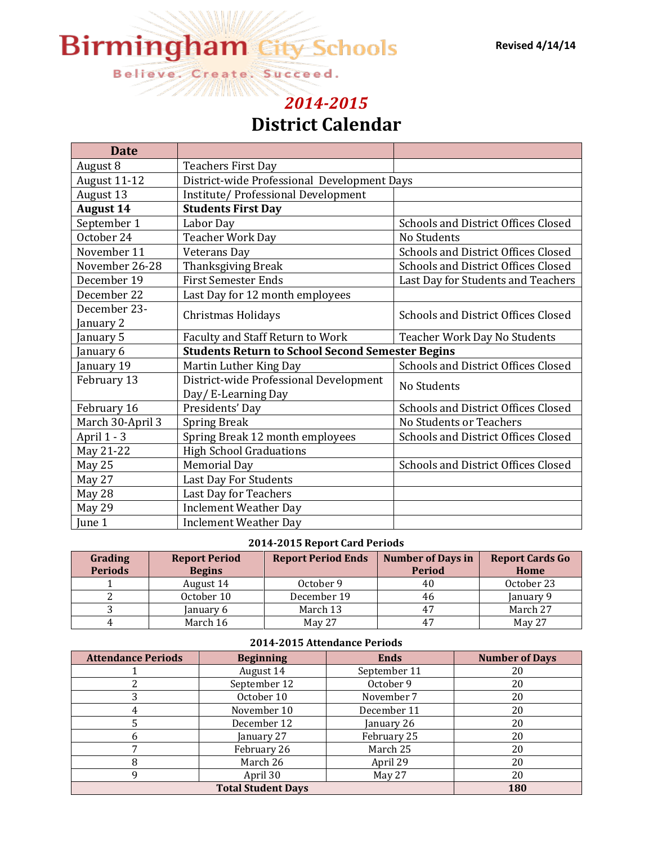#### **Revised 4/14/14**

# **Birmingham City Schools**

Believe. Create. Succeed.

# *[2014-2015](http://www.bhamcityschools.org/bcs)* **District Calendar**

| <b>Date</b>      |                                                         |                                     |  |  |
|------------------|---------------------------------------------------------|-------------------------------------|--|--|
| August 8         | <b>Teachers First Day</b>                               |                                     |  |  |
| August 11-12     | District-wide Professional Development Days             |                                     |  |  |
| August 13        | Institute/ Professional Development                     |                                     |  |  |
| <b>August 14</b> | <b>Students First Day</b>                               |                                     |  |  |
| September 1      | Labor Day                                               | Schools and District Offices Closed |  |  |
| October 24       | Teacher Work Day                                        | No Students                         |  |  |
| November 11      | Veterans Day                                            | Schools and District Offices Closed |  |  |
| November 26-28   | Thanksgiving Break                                      | Schools and District Offices Closed |  |  |
| December 19      | <b>First Semester Ends</b>                              | Last Day for Students and Teachers  |  |  |
| December 22      | Last Day for 12 month employees                         |                                     |  |  |
| December 23-     | <b>Christmas Holidays</b>                               | Schools and District Offices Closed |  |  |
| January 2        |                                                         |                                     |  |  |
| January 5        | Faculty and Staff Return to Work                        | Teacher Work Day No Students        |  |  |
| January 6        | <b>Students Return to School Second Semester Begins</b> |                                     |  |  |
| January 19       | Martin Luther King Day                                  | Schools and District Offices Closed |  |  |
| February 13      | District-wide Professional Development                  | No Students                         |  |  |
|                  | Day/ E-Learning Day                                     |                                     |  |  |
| February 16      | Presidents' Day                                         | Schools and District Offices Closed |  |  |
| March 30-April 3 | <b>Spring Break</b>                                     | No Students or Teachers             |  |  |
| April 1 - 3      | Spring Break 12 month employees                         | Schools and District Offices Closed |  |  |
| May 21-22        | <b>High School Graduations</b>                          |                                     |  |  |
| May 25           | <b>Memorial Day</b>                                     | Schools and District Offices Closed |  |  |
| May 27           | Last Day For Students                                   |                                     |  |  |
| May 28           | Last Day for Teachers                                   |                                     |  |  |
| May 29           | <b>Inclement Weather Day</b>                            |                                     |  |  |
| June 1           | <b>Inclement Weather Day</b>                            |                                     |  |  |

#### **2014-2015 Report Card Periods**

| Grading<br><b>Periods</b> | <b>Report Period</b><br><b>Begins</b> | <b>Report Period Ends</b> | <b>Number of Days in</b><br><b>Period</b> | <b>Report Cards Go</b><br>Home |
|---------------------------|---------------------------------------|---------------------------|-------------------------------------------|--------------------------------|
|                           | August 14                             | October 9                 | 40                                        | October 23                     |
|                           | October 10                            | December 19               | 46                                        | January 9                      |
|                           | January 6                             | March 13                  | 47                                        | March 27                       |
|                           | March 16                              | May 27                    | 47                                        | May 27                         |

#### **2014-2015 Attendance Periods**

| <b>Attendance Periods</b> | <b>Beginning</b>          | <b>Ends</b>  | <b>Number of Days</b> |
|---------------------------|---------------------------|--------------|-----------------------|
|                           | August 14                 | September 11 | 20                    |
|                           | September 12              | October 9    | 20                    |
|                           | October 10                | November 7   | 20                    |
|                           | November 10               | December 11  | 20                    |
|                           | December 12               | January 26   | 20                    |
|                           | January 27                | February 25  | 20                    |
|                           | February 26               | March 25     | 20                    |
|                           | March 26                  | April 29     | 20                    |
|                           | April 30                  | May 27       | 20                    |
|                           | <b>Total Student Days</b> |              | 180                   |